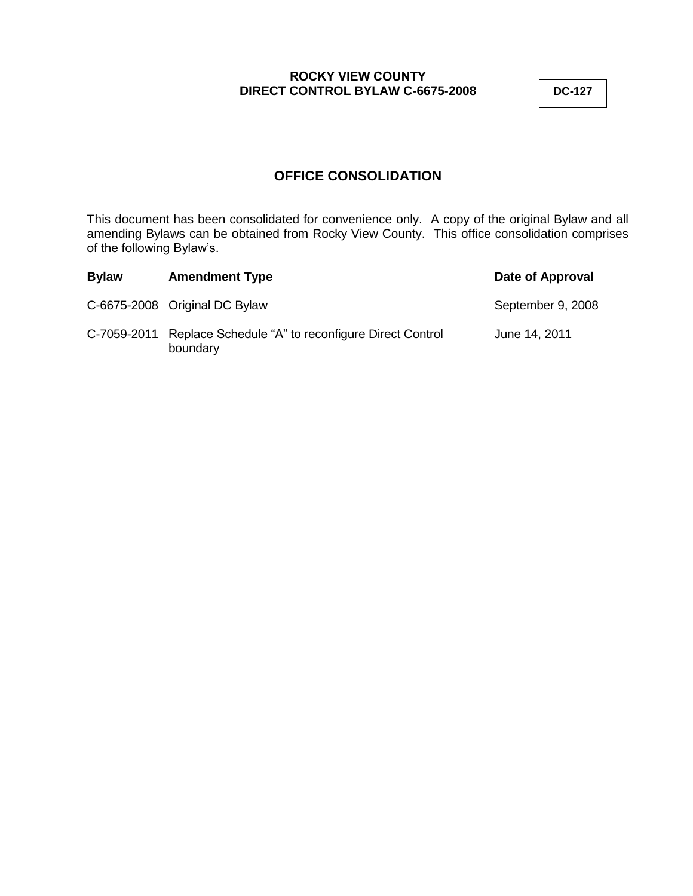# **OFFICE CONSOLIDATION**

This document has been consolidated for convenience only. A copy of the original Bylaw and all amending Bylaws can be obtained from Rocky View County. This office consolidation comprises of the following Bylaw's.

| <b>Bylaw</b> | <b>Amendment Type</b>                                          | Date of Approval  |
|--------------|----------------------------------------------------------------|-------------------|
|              | C-6675-2008 Original DC Bylaw                                  | September 9, 2008 |
| C-7059-2011  | Replace Schedule "A" to reconfigure Direct Control<br>boundary | June 14, 2011     |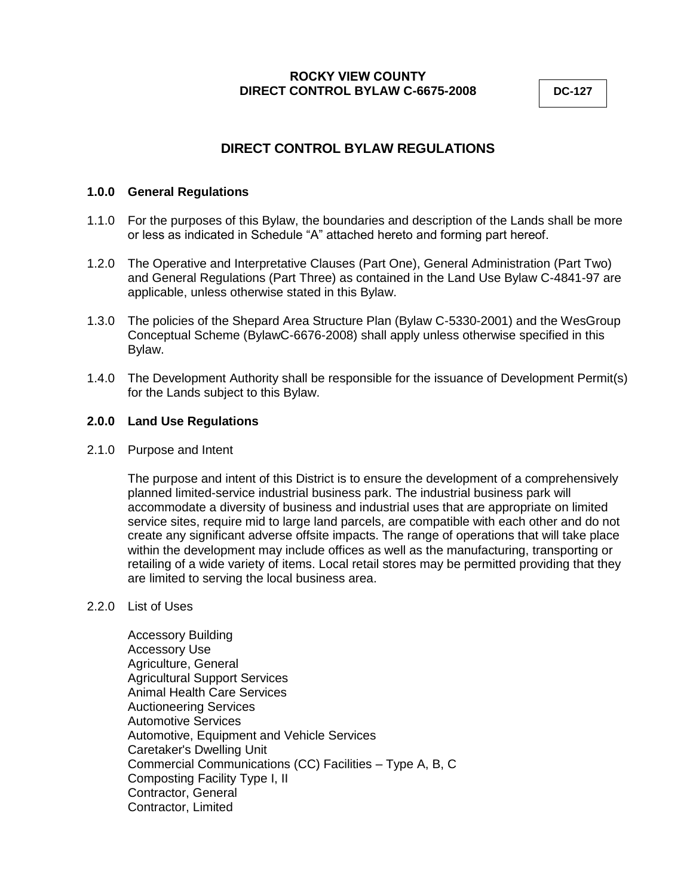# **DIRECT CONTROL BYLAW REGULATIONS**

## **1.0.0 General Regulations**

- 1.1.0 For the purposes of this Bylaw, the boundaries and description of the Lands shall be more or less as indicated in Schedule "A" attached hereto and forming part hereof.
- 1.2.0 The Operative and Interpretative Clauses (Part One), General Administration (Part Two) and General Regulations (Part Three) as contained in the Land Use Bylaw C-4841-97 are applicable, unless otherwise stated in this Bylaw.
- 1.3.0 The policies of the Shepard Area Structure Plan (Bylaw C-5330-2001) and the WesGroup Conceptual Scheme (BylawC-6676-2008) shall apply unless otherwise specified in this Bylaw.
- 1.4.0 The Development Authority shall be responsible for the issuance of Development Permit(s) for the Lands subject to this Bylaw.

### **2.0.0 Land Use Regulations**

2.1.0 Purpose and Intent

The purpose and intent of this District is to ensure the development of a comprehensively planned limited-service industrial business park. The industrial business park will accommodate a diversity of business and industrial uses that are appropriate on limited service sites, require mid to large land parcels, are compatible with each other and do not create any significant adverse offsite impacts. The range of operations that will take place within the development may include offices as well as the manufacturing, transporting or retailing of a wide variety of items. Local retail stores may be permitted providing that they are limited to serving the local business area.

#### 2.2.0 List of Uses

Accessory Building Accessory Use Agriculture, General Agricultural Support Services Animal Health Care Services Auctioneering Services Automotive Services Automotive, Equipment and Vehicle Services Caretaker's Dwelling Unit Commercial Communications (CC) Facilities – Type A, B, C Composting Facility Type I, II Contractor, General Contractor, Limited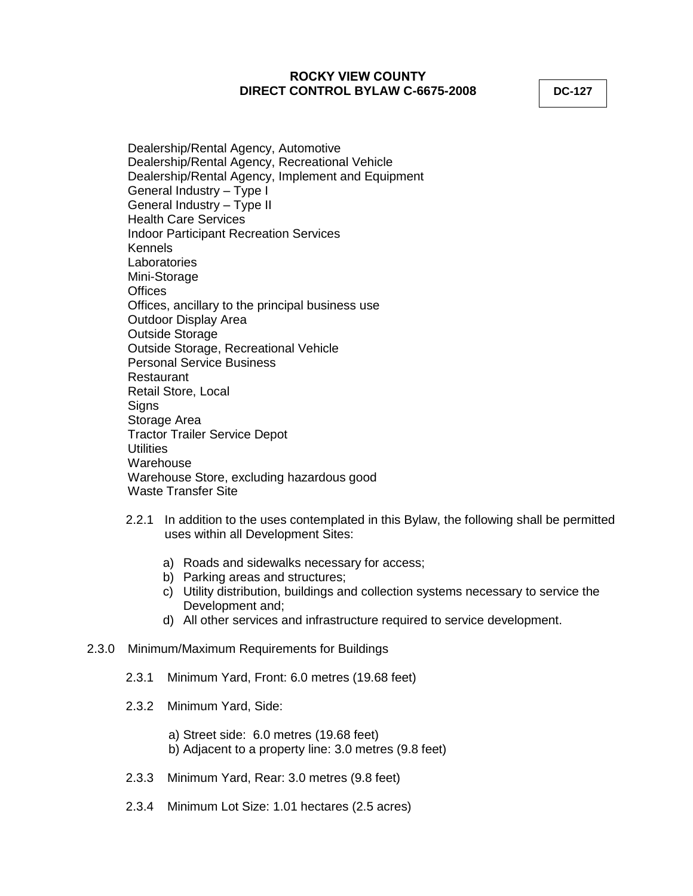Dealership/Rental Agency, Automotive Dealership/Rental Agency, Recreational Vehicle Dealership/Rental Agency, Implement and Equipment General Industry – Type I General Industry – Type II Health Care Services Indoor Participant Recreation Services Kennels **Laboratories** Mini-Storage **Offices** Offices, ancillary to the principal business use Outdoor Display Area Outside Storage Outside Storage, Recreational Vehicle Personal Service Business Restaurant Retail Store, Local **Signs** Storage Area Tractor Trailer Service Depot **Utilities** Warehouse Warehouse Store, excluding hazardous good Waste Transfer Site

- 2.2.1 In addition to the uses contemplated in this Bylaw, the following shall be permitted uses within all Development Sites:
	- a) Roads and sidewalks necessary for access;
	- b) Parking areas and structures;
	- c) Utility distribution, buildings and collection systems necessary to service the Development and;
	- d) All other services and infrastructure required to service development.

### 2.3.0 Minimum/Maximum Requirements for Buildings

- 2.3.1 Minimum Yard, Front: 6.0 metres (19.68 feet)
- 2.3.2 Minimum Yard, Side:

a) Street side: 6.0 metres (19.68 feet) b) Adjacent to a property line: 3.0 metres (9.8 feet)

- 2.3.3 Minimum Yard, Rear: 3.0 metres (9.8 feet)
- 2.3.4 Minimum Lot Size: 1.01 hectares (2.5 acres)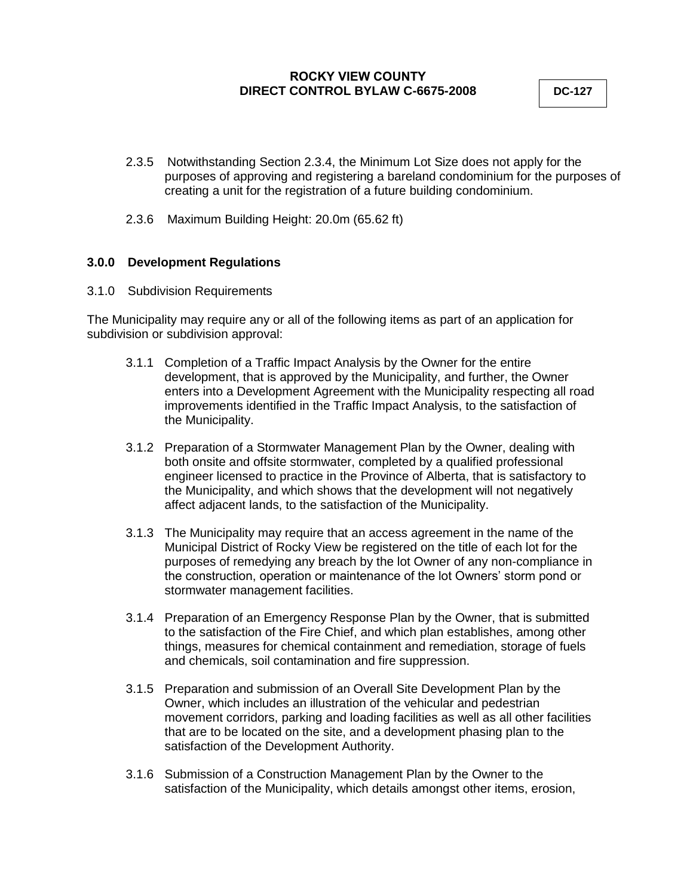- 2.3.5 Notwithstanding Section 2.3.4, the Minimum Lot Size does not apply for the purposes of approving and registering a bareland condominium for the purposes of creating a unit for the registration of a future building condominium.
- 2.3.6 Maximum Building Height: 20.0m (65.62 ft)

## **3.0.0 Development Regulations**

3.1.0 Subdivision Requirements

The Municipality may require any or all of the following items as part of an application for subdivision or subdivision approval:

- 3.1.1 Completion of a Traffic Impact Analysis by the Owner for the entire development, that is approved by the Municipality, and further, the Owner enters into a Development Agreement with the Municipality respecting all road improvements identified in the Traffic Impact Analysis, to the satisfaction of the Municipality.
- 3.1.2 Preparation of a Stormwater Management Plan by the Owner, dealing with both onsite and offsite stormwater, completed by a qualified professional engineer licensed to practice in the Province of Alberta, that is satisfactory to the Municipality, and which shows that the development will not negatively affect adjacent lands, to the satisfaction of the Municipality.
- 3.1.3 The Municipality may require that an access agreement in the name of the Municipal District of Rocky View be registered on the title of each lot for the purposes of remedying any breach by the lot Owner of any non-compliance in the construction, operation or maintenance of the lot Owners' storm pond or stormwater management facilities.
- 3.1.4 Preparation of an Emergency Response Plan by the Owner, that is submitted to the satisfaction of the Fire Chief, and which plan establishes, among other things, measures for chemical containment and remediation, storage of fuels and chemicals, soil contamination and fire suppression.
- 3.1.5 Preparation and submission of an Overall Site Development Plan by the Owner, which includes an illustration of the vehicular and pedestrian movement corridors, parking and loading facilities as well as all other facilities that are to be located on the site, and a development phasing plan to the satisfaction of the Development Authority.
- 3.1.6 Submission of a Construction Management Plan by the Owner to the satisfaction of the Municipality, which details amongst other items, erosion,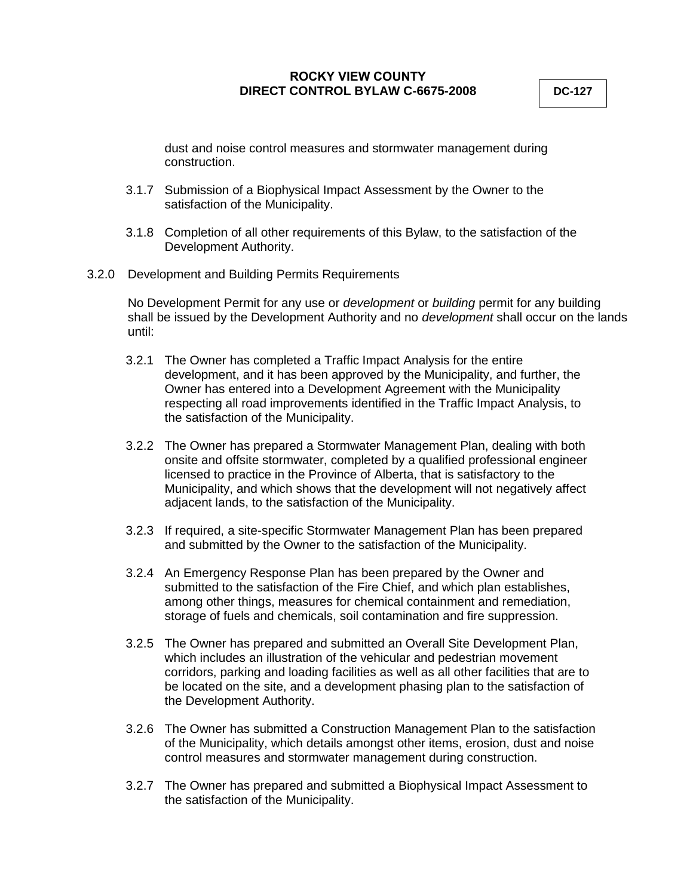dust and noise control measures and stormwater management during construction.

- 3.1.7 Submission of a Biophysical Impact Assessment by the Owner to the satisfaction of the Municipality.
- 3.1.8 Completion of all other requirements of this Bylaw, to the satisfaction of the Development Authority.
- 3.2.0 Development and Building Permits Requirements

No Development Permit for any use or *development* or *building* permit for any building shall be issued by the Development Authority and no *development* shall occur on the lands until:

- 3.2.1 The Owner has completed a Traffic Impact Analysis for the entire development, and it has been approved by the Municipality, and further, the Owner has entered into a Development Agreement with the Municipality respecting all road improvements identified in the Traffic Impact Analysis, to the satisfaction of the Municipality.
- 3.2.2 The Owner has prepared a Stormwater Management Plan, dealing with both onsite and offsite stormwater, completed by a qualified professional engineer licensed to practice in the Province of Alberta, that is satisfactory to the Municipality, and which shows that the development will not negatively affect adjacent lands, to the satisfaction of the Municipality.
- 3.2.3 If required, a site-specific Stormwater Management Plan has been prepared and submitted by the Owner to the satisfaction of the Municipality.
- 3.2.4 An Emergency Response Plan has been prepared by the Owner and submitted to the satisfaction of the Fire Chief, and which plan establishes, among other things, measures for chemical containment and remediation, storage of fuels and chemicals, soil contamination and fire suppression.
- 3.2.5 The Owner has prepared and submitted an Overall Site Development Plan, which includes an illustration of the vehicular and pedestrian movement corridors, parking and loading facilities as well as all other facilities that are to be located on the site, and a development phasing plan to the satisfaction of the Development Authority.
- 3.2.6 The Owner has submitted a Construction Management Plan to the satisfaction of the Municipality, which details amongst other items, erosion, dust and noise control measures and stormwater management during construction.
- 3.2.7 The Owner has prepared and submitted a Biophysical Impact Assessment to the satisfaction of the Municipality.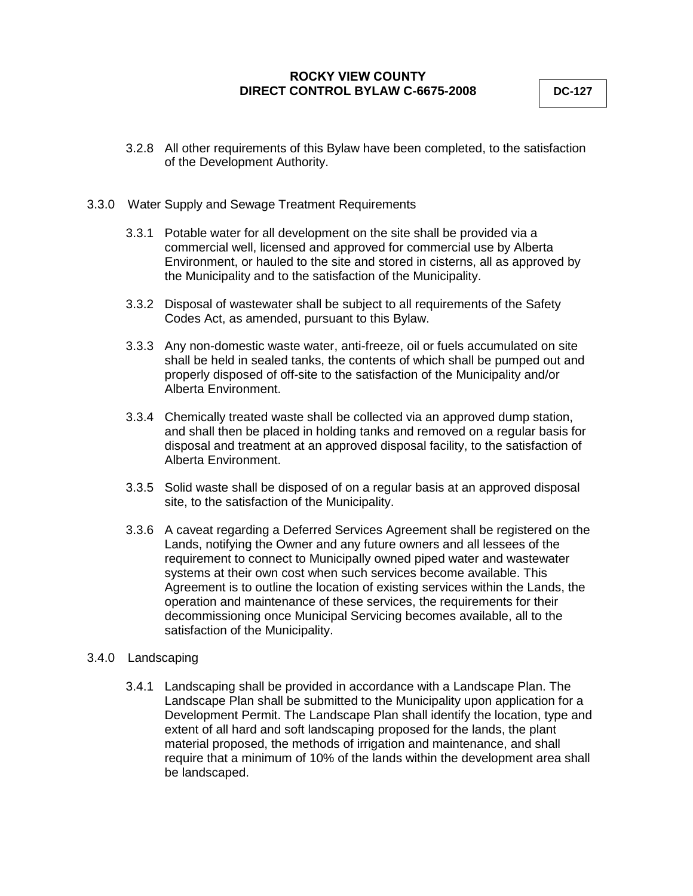3.2.8 All other requirements of this Bylaw have been completed, to the satisfaction of the Development Authority.

#### 3.3.0 Water Supply and Sewage Treatment Requirements

- 3.3.1 Potable water for all development on the site shall be provided via a commercial well, licensed and approved for commercial use by Alberta Environment, or hauled to the site and stored in cisterns, all as approved by the Municipality and to the satisfaction of the Municipality.
- 3.3.2 Disposal of wastewater shall be subject to all requirements of the Safety Codes Act, as amended, pursuant to this Bylaw.
- 3.3.3 Any non-domestic waste water, anti-freeze, oil or fuels accumulated on site shall be held in sealed tanks, the contents of which shall be pumped out and properly disposed of off-site to the satisfaction of the Municipality and/or Alberta Environment.
- 3.3.4 Chemically treated waste shall be collected via an approved dump station, and shall then be placed in holding tanks and removed on a regular basis for disposal and treatment at an approved disposal facility, to the satisfaction of Alberta Environment.
- 3.3.5 Solid waste shall be disposed of on a regular basis at an approved disposal site, to the satisfaction of the Municipality.
- 3.3.6 A caveat regarding a Deferred Services Agreement shall be registered on the Lands, notifying the Owner and any future owners and all lessees of the requirement to connect to Municipally owned piped water and wastewater systems at their own cost when such services become available. This Agreement is to outline the location of existing services within the Lands, the operation and maintenance of these services, the requirements for their decommissioning once Municipal Servicing becomes available, all to the satisfaction of the Municipality.

#### 3.4.0 Landscaping

3.4.1 Landscaping shall be provided in accordance with a Landscape Plan. The Landscape Plan shall be submitted to the Municipality upon application for a Development Permit. The Landscape Plan shall identify the location, type and extent of all hard and soft landscaping proposed for the lands, the plant material proposed, the methods of irrigation and maintenance, and shall require that a minimum of 10% of the lands within the development area shall be landscaped.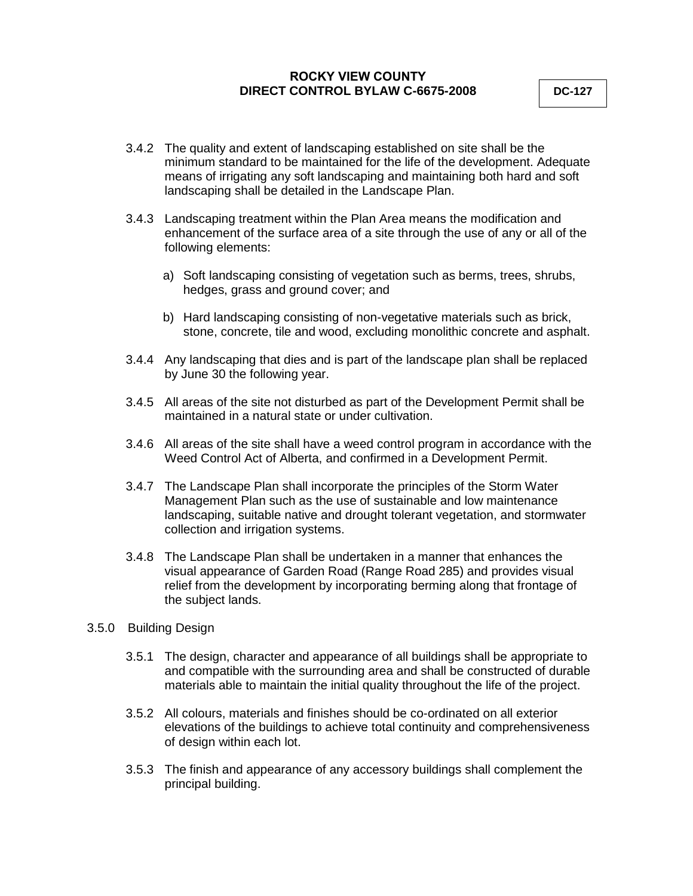- 3.4.2 The quality and extent of landscaping established on site shall be the minimum standard to be maintained for the life of the development. Adequate means of irrigating any soft landscaping and maintaining both hard and soft landscaping shall be detailed in the Landscape Plan.
- 3.4.3 Landscaping treatment within the Plan Area means the modification and enhancement of the surface area of a site through the use of any or all of the following elements:
	- a) Soft landscaping consisting of vegetation such as berms, trees, shrubs, hedges, grass and ground cover; and
	- b) Hard landscaping consisting of non-vegetative materials such as brick, stone, concrete, tile and wood, excluding monolithic concrete and asphalt.
- 3.4.4 Any landscaping that dies and is part of the landscape plan shall be replaced by June 30 the following year.
- 3.4.5 All areas of the site not disturbed as part of the Development Permit shall be maintained in a natural state or under cultivation.
- 3.4.6 All areas of the site shall have a weed control program in accordance with the Weed Control Act of Alberta, and confirmed in a Development Permit.
- 3.4.7 The Landscape Plan shall incorporate the principles of the Storm Water Management Plan such as the use of sustainable and low maintenance landscaping, suitable native and drought tolerant vegetation, and stormwater collection and irrigation systems.
- 3.4.8 The Landscape Plan shall be undertaken in a manner that enhances the visual appearance of Garden Road (Range Road 285) and provides visual relief from the development by incorporating berming along that frontage of the subject lands.
- 3.5.0 Building Design
	- 3.5.1 The design, character and appearance of all buildings shall be appropriate to and compatible with the surrounding area and shall be constructed of durable materials able to maintain the initial quality throughout the life of the project.
	- 3.5.2 All colours, materials and finishes should be co-ordinated on all exterior elevations of the buildings to achieve total continuity and comprehensiveness of design within each lot.
	- 3.5.3 The finish and appearance of any accessory buildings shall complement the principal building.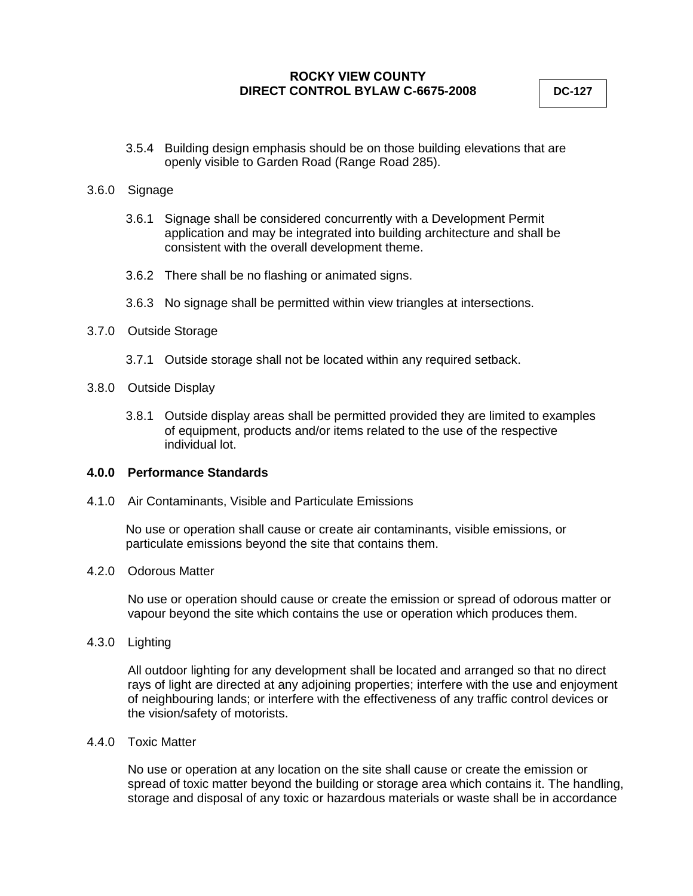3.5.4 Building design emphasis should be on those building elevations that are openly visible to Garden Road (Range Road 285).

#### 3.6.0 Signage

- 3.6.1 Signage shall be considered concurrently with a Development Permit application and may be integrated into building architecture and shall be consistent with the overall development theme.
- 3.6.2 There shall be no flashing or animated signs.
- 3.6.3 No signage shall be permitted within view triangles at intersections.

### 3.7.0 Outside Storage

- 3.7.1 Outside storage shall not be located within any required setback.
- 3.8.0 Outside Display
	- 3.8.1 Outside display areas shall be permitted provided they are limited to examples of equipment, products and/or items related to the use of the respective individual lot.

## **4.0.0 Performance Standards**

4.1.0 Air Contaminants, Visible and Particulate Emissions

No use or operation shall cause or create air contaminants, visible emissions, or particulate emissions beyond the site that contains them.

## 4.2.0 Odorous Matter

No use or operation should cause or create the emission or spread of odorous matter or vapour beyond the site which contains the use or operation which produces them.

4.3.0 Lighting

All outdoor lighting for any development shall be located and arranged so that no direct rays of light are directed at any adjoining properties; interfere with the use and enjoyment of neighbouring lands; or interfere with the effectiveness of any traffic control devices or the vision/safety of motorists.

#### 4.4.0 Toxic Matter

No use or operation at any location on the site shall cause or create the emission or spread of toxic matter beyond the building or storage area which contains it. The handling, storage and disposal of any toxic or hazardous materials or waste shall be in accordance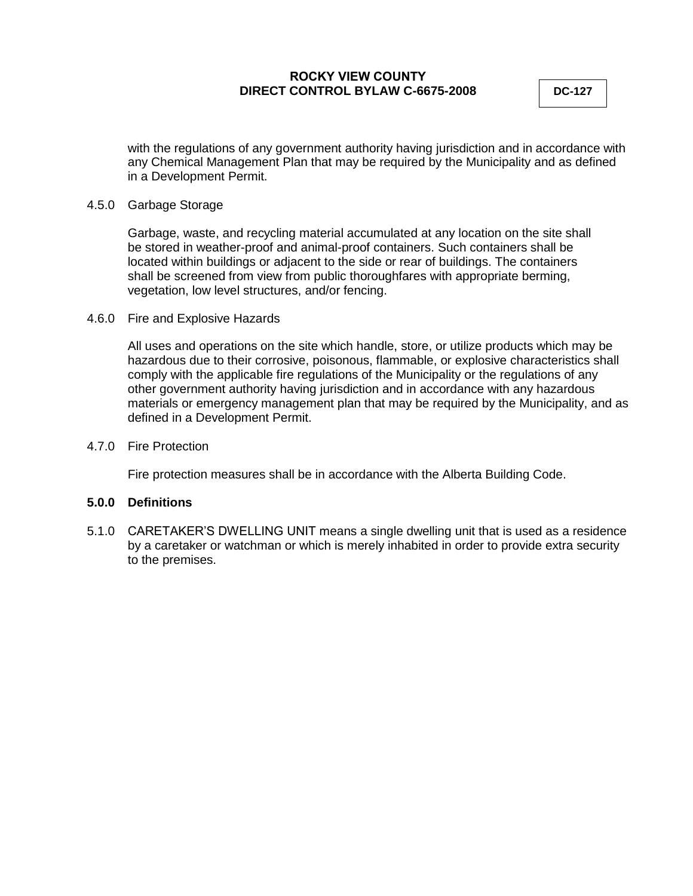with the regulations of any government authority having jurisdiction and in accordance with any Chemical Management Plan that may be required by the Municipality and as defined in a Development Permit.

#### 4.5.0 Garbage Storage

Garbage, waste, and recycling material accumulated at any location on the site shall be stored in weather-proof and animal-proof containers. Such containers shall be located within buildings or adjacent to the side or rear of buildings. The containers shall be screened from view from public thoroughfares with appropriate berming, vegetation, low level structures, and/or fencing.

### 4.6.0 Fire and Explosive Hazards

All uses and operations on the site which handle, store, or utilize products which may be hazardous due to their corrosive, poisonous, flammable, or explosive characteristics shall comply with the applicable fire regulations of the Municipality or the regulations of any other government authority having jurisdiction and in accordance with any hazardous materials or emergency management plan that may be required by the Municipality, and as defined in a Development Permit.

### 4.7.0 Fire Protection

Fire protection measures shall be in accordance with the Alberta Building Code.

#### **5.0.0 Definitions**

5.1.0 CARETAKER'S DWELLING UNIT means a single dwelling unit that is used as a residence by a caretaker or watchman or which is merely inhabited in order to provide extra security to the premises.